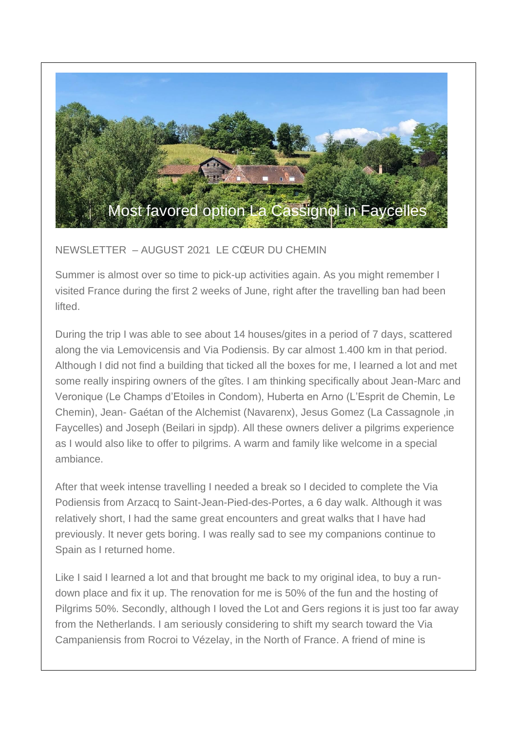

## NEWSLETTER – AUGUST 2021 LE CŒUR DU CHEMIN

Summer is almost over so time to pick-up activities again. As you might remember I visited France during the first 2 weeks of June, right after the travelling ban had been lifted.

During the trip I was able to see about 14 houses/gites in a period of 7 days, scattered along the via Lemovicensis and Via Podiensis. By car almost 1.400 km in that period. Although I did not find a building that ticked all the boxes for me, I learned a lot and met some really inspiring owners of the gîtes. I am thinking specifically about Jean-Marc and Veronique (Le Champs d'Etoiles in Condom), Huberta en Arno (L'Esprit de Chemin, Le Chemin), Jean- Gaétan of the Alchemist (Navarenx), Jesus Gomez (La Cassagnole ,in Faycelles) and Joseph (Beilari in sjpdp). All these owners deliver a pilgrims experience as I would also like to offer to pilgrims. A warm and family like welcome in a special ambiance.

After that week intense travelling I needed a break so I decided to complete the Via Podiensis from Arzacq to Saint-Jean-Pied-des-Portes, a 6 day walk. Although it was relatively short, I had the same great encounters and great walks that I have had previously. It never gets boring. I was really sad to see my companions continue to Spain as I returned home.

Like I said I learned a lot and that brought me back to my original idea, to buy a rundown place and fix it up. The renovation for me is 50% of the fun and the hosting of Pilgrims 50%. Secondly, although I loved the Lot and Gers regions it is just too far away from the Netherlands. I am seriously considering to shift my search toward the Via Campaniensis from Rocroi to Vézelay, in the North of France. A friend of mine is